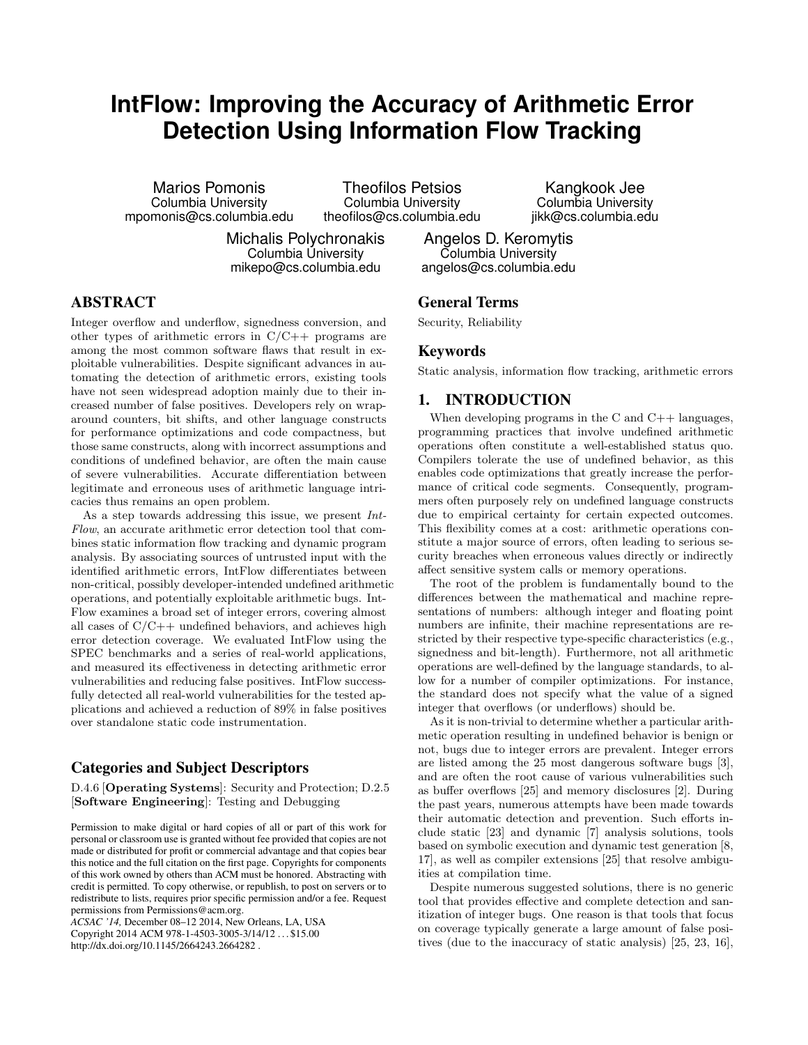# **IntFlow: Improving the Accuracy of Arithmetic Error Detection Using Information Flow Tracking**

Marios Pomonis Columbia University mpomonis@cs.columbia.edu

Theofilos Petsios Columbia University theofilos@cs.columbia.edu

Columbia University mikepo@cs.columbia.edu

Michalis Polychronakis

Kangkook Jee Columbia University jikk@cs.columbia.edu

Angelos D. Keromytis Columbia University angelos@cs.columbia.edu

# ABSTRACT

Integer overflow and underflow, signedness conversion, and other types of arithmetic errors in  $C/C++$  programs are among the most common software flaws that result in exploitable vulnerabilities. Despite significant advances in automating the detection of arithmetic errors, existing tools have not seen widespread adoption mainly due to their increased number of false positives. Developers rely on wraparound counters, bit shifts, and other language constructs for performance optimizations and code compactness, but those same constructs, along with incorrect assumptions and conditions of undefined behavior, are often the main cause of severe vulnerabilities. Accurate differentiation between legitimate and erroneous uses of arithmetic language intricacies thus remains an open problem.

As a step towards addressing this issue, we present Int-Flow, an accurate arithmetic error detection tool that combines static information flow tracking and dynamic program analysis. By associating sources of untrusted input with the identified arithmetic errors, IntFlow differentiates between non-critical, possibly developer-intended undefined arithmetic operations, and potentially exploitable arithmetic bugs. Int-Flow examines a broad set of integer errors, covering almost all cases of  $C/C++$  undefined behaviors, and achieves high error detection coverage. We evaluated IntFlow using the SPEC benchmarks and a series of real-world applications, and measured its effectiveness in detecting arithmetic error vulnerabilities and reducing false positives. IntFlow successfully detected all real-world vulnerabilities for the tested applications and achieved a reduction of 89% in false positives over standalone static code instrumentation.

## Categories and Subject Descriptors

D.4.6 [Operating Systems]: Security and Protection; D.2.5 [Software Engineering]: Testing and Debugging

Permission to make digital or hard copies of all or part of this work for personal or classroom use is granted without fee provided that copies are not made or distributed for profit or commercial advantage and that copies bear this notice and the full citation on the first page. Copyrights for components of this work owned by others than ACM must be honored. Abstracting with credit is permitted. To copy otherwise, or republish, to post on servers or to redistribute to lists, requires prior specific permission and/or a fee. Request permissions from Permissions@acm.org.

*ACSAC '14,* December 08–12 2014, New Orleans, LA, USA Copyright 2014 ACM 978-1-4503-3005-3/14/12 . . . \$15.00 http://dx.doi.org/10.1145/2664243.2664282 .

#### General Terms

Security, Reliability

#### Keywords

Static analysis, information flow tracking, arithmetic errors

## 1. INTRODUCTION

When developing programs in the  $C$  and  $C_{++}$  languages, programming practices that involve undefined arithmetic operations often constitute a well-established status quo. Compilers tolerate the use of undefined behavior, as this enables code optimizations that greatly increase the performance of critical code segments. Consequently, programmers often purposely rely on undefined language constructs due to empirical certainty for certain expected outcomes. This flexibility comes at a cost: arithmetic operations constitute a major source of errors, often leading to serious security breaches when erroneous values directly or indirectly affect sensitive system calls or memory operations.

The root of the problem is fundamentally bound to the differences between the mathematical and machine representations of numbers: although integer and floating point numbers are infinite, their machine representations are restricted by their respective type-specific characteristics (e.g., signedness and bit-length). Furthermore, not all arithmetic operations are well-defined by the language standards, to allow for a number of compiler optimizations. For instance, the standard does not specify what the value of a signed integer that overflows (or underflows) should be.

As it is non-trivial to determine whether a particular arithmetic operation resulting in undefined behavior is benign or not, bugs due to integer errors are prevalent. Integer errors are listed among the 25 most dangerous software bugs [\[3\]](#page-9-0), and are often the root cause of various vulnerabilities such as buffer overflows [\[25\]](#page-9-1) and memory disclosures [\[2\]](#page-9-2). During the past years, numerous attempts have been made towards their automatic detection and prevention. Such efforts include static [\[23\]](#page-9-3) and dynamic [\[7\]](#page-9-4) analysis solutions, tools based on symbolic execution and dynamic test generation [\[8,](#page-9-5) [17\]](#page-9-6), as well as compiler extensions [\[25\]](#page-9-1) that resolve ambiguities at compilation time.

Despite numerous suggested solutions, there is no generic tool that provides effective and complete detection and sanitization of integer bugs. One reason is that tools that focus on coverage typically generate a large amount of false positives (due to the inaccuracy of static analysis) [\[25,](#page-9-1) [23,](#page-9-3) [16\]](#page-9-7),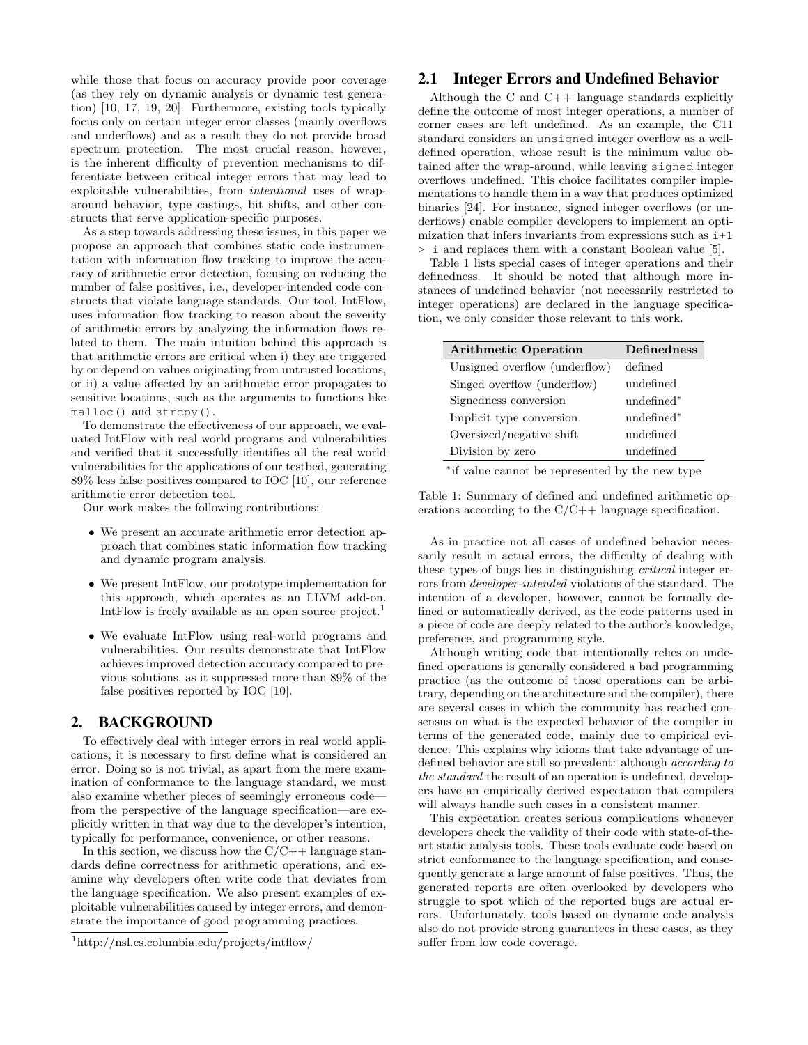while those that focus on accuracy provide poor coverage (as they rely on dynamic analysis or dynamic test generation) [\[10,](#page-9-8) [17,](#page-9-6) [19,](#page-9-9) [20\]](#page-9-10). Furthermore, existing tools typically focus only on certain integer error classes (mainly overflows and underflows) and as a result they do not provide broad spectrum protection. The most crucial reason, however, is the inherent difficulty of prevention mechanisms to differentiate between critical integer errors that may lead to exploitable vulnerabilities, from intentional uses of wraparound behavior, type castings, bit shifts, and other constructs that serve application-specific purposes.

As a step towards addressing these issues, in this paper we propose an approach that combines static code instrumentation with information flow tracking to improve the accuracy of arithmetic error detection, focusing on reducing the number of false positives, i.e., developer-intended code constructs that violate language standards. Our tool, IntFlow, uses information flow tracking to reason about the severity of arithmetic errors by analyzing the information flows related to them. The main intuition behind this approach is that arithmetic errors are critical when i) they are triggered by or depend on values originating from untrusted locations, or ii) a value affected by an arithmetic error propagates to sensitive locations, such as the arguments to functions like malloc() and strcpy().

To demonstrate the effectiveness of our approach, we evaluated IntFlow with real world programs and vulnerabilities and verified that it successfully identifies all the real world vulnerabilities for the applications of our testbed, generating 89% less false positives compared to IOC [\[10\]](#page-9-8), our reference arithmetic error detection tool.

Our work makes the following contributions:

- We present an accurate arithmetic error detection approach that combines static information flow tracking and dynamic program analysis.
- We present IntFlow, our prototype implementation for this approach, which operates as an LLVM add-on. IntFlow is freely available as an open source project.<sup>[1](#page-1-0)</sup>
- We evaluate IntFlow using real-world programs and vulnerabilities. Our results demonstrate that IntFlow achieves improved detection accuracy compared to previous solutions, as it suppressed more than 89% of the false positives reported by IOC [\[10\]](#page-9-8).

#### 2. BACKGROUND

To effectively deal with integer errors in real world applications, it is necessary to first define what is considered an error. Doing so is not trivial, as apart from the mere examination of conformance to the language standard, we must also examine whether pieces of seemingly erroneous code from the perspective of the language specification—are explicitly written in that way due to the developer's intention, typically for performance, convenience, or other reasons.

In this section, we discuss how the  $C/C++$  language standards define correctness for arithmetic operations, and examine why developers often write code that deviates from the language specification. We also present examples of exploitable vulnerabilities caused by integer errors, and demonstrate the importance of good programming practices.

## 2.1 Integer Errors and Undefined Behavior

Although the C and  $C_{++}$  language standards explicitly define the outcome of most integer operations, a number of corner cases are left undefined. As an example, the C11 standard considers an unsigned integer overflow as a welldefined operation, whose result is the minimum value obtained after the wrap-around, while leaving signed integer overflows undefined. This choice facilitates compiler implementations to handle them in a way that produces optimized binaries [\[24\]](#page-9-11). For instance, signed integer overflows (or underflows) enable compiler developers to implement an optimization that infers invariants from expressions such as  $i+1$ > i and replaces them with a constant Boolean value [\[5\]](#page-9-12).

Table [1](#page-1-1) lists special cases of integer operations and their definedness. It should be noted that although more instances of undefined behavior (not necessarily restricted to integer operations) are declared in the language specification, we only consider those relevant to this work.

<span id="page-1-1"></span>

| <b>Arithmetic Operation</b>   | <b>Definedness</b>     |
|-------------------------------|------------------------|
| Unsigned overflow (underflow) | defined                |
| Singed overflow (underflow)   | undefined              |
| Signedness conversion         | undefined*             |
| Implicit type conversion      | undefined <sup>*</sup> |
| Oversized/negative shift      | undefined              |
| Division by zero              | undefined              |

∗ if value cannot be represented by the new type

Table 1: Summary of defined and undefined arithmetic operations according to the C/C++ language specification.

As in practice not all cases of undefined behavior necessarily result in actual errors, the difficulty of dealing with these types of bugs lies in distinguishing critical integer errors from developer-intended violations of the standard. The intention of a developer, however, cannot be formally defined or automatically derived, as the code patterns used in a piece of code are deeply related to the author's knowledge, preference, and programming style.

Although writing code that intentionally relies on undefined operations is generally considered a bad programming practice (as the outcome of those operations can be arbitrary, depending on the architecture and the compiler), there are several cases in which the community has reached consensus on what is the expected behavior of the compiler in terms of the generated code, mainly due to empirical evidence. This explains why idioms that take advantage of undefined behavior are still so prevalent: although according to the standard the result of an operation is undefined, developers have an empirically derived expectation that compilers will always handle such cases in a consistent manner.

This expectation creates serious complications whenever developers check the validity of their code with state-of-theart static analysis tools. These tools evaluate code based on strict conformance to the language specification, and consequently generate a large amount of false positives. Thus, the generated reports are often overlooked by developers who struggle to spot which of the reported bugs are actual errors. Unfortunately, tools based on dynamic code analysis also do not provide strong guarantees in these cases, as they suffer from low code coverage.

<span id="page-1-0"></span><sup>1</sup>http://nsl.cs.columbia.edu/projects/intflow/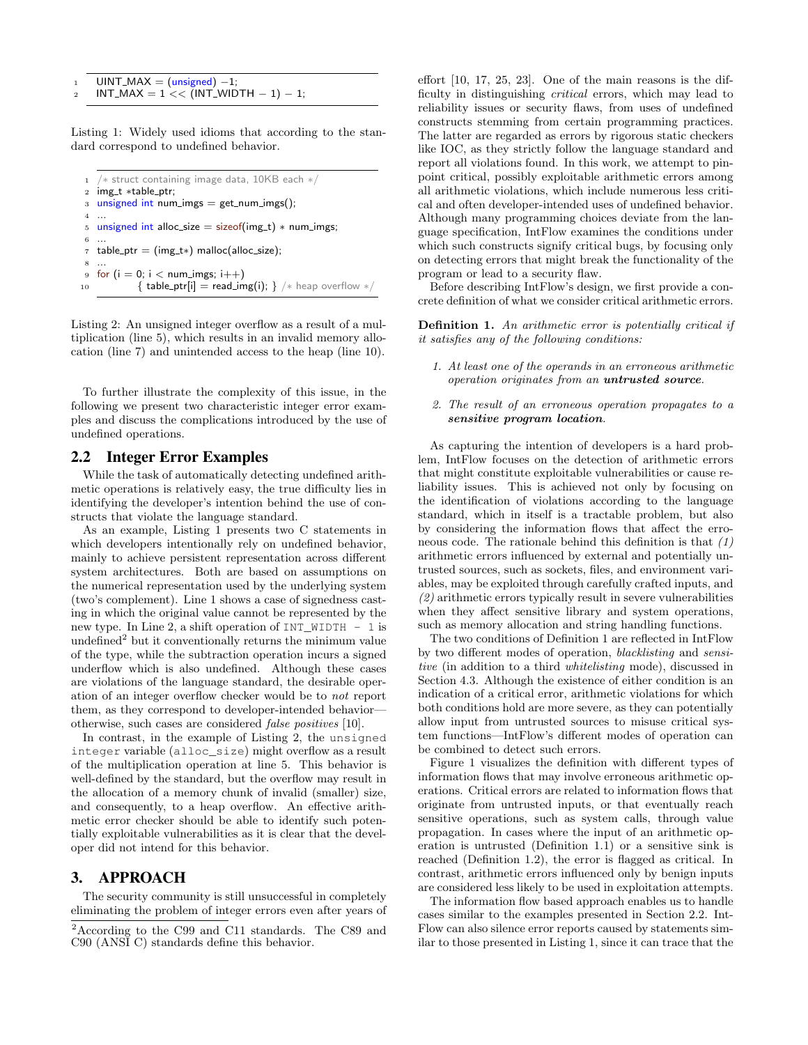```
UINT\_MAX = (unsigned) -1;INT\_MAX = 1 << \overline{(INT\_WIDTH - 1)} - 1;
```
Listing 1: Widely used idioms that according to the standard correspond to undefined behavior.

```
1 /∗ struct containing image data, 10KB each ∗/
2 img_t *table_ptr;
3 unsigned int num_imgs = get_num_imgs();
4 ...
5 unsigned int alloc_size = sizeof(img_t) * num_imgs;
6 ...
\tau table_ptr = (img_t*) malloc(alloc_size);
 8 ...
9 for (i = 0; i < num_imgs; i++)
10 \{ \text{table\_ptr}[i] = \text{read\_img}(i); \} /* heap overflow */
```
Listing 2: An unsigned integer overflow as a result of a multiplication (line 5), which results in an invalid memory allocation (line 7) and unintended access to the heap (line 10).

To further illustrate the complexity of this issue, in the following we present two characteristic integer error examples and discuss the complications introduced by the use of undefined operations.

## <span id="page-2-4"></span>2.2 Integer Error Examples

While the task of automatically detecting undefined arithmetic operations is relatively easy, the true difficulty lies in identifying the developer's intention behind the use of constructs that violate the language standard.

As an example, Listing [1](#page-2-0) presents two C statements in which developers intentionally rely on undefined behavior, mainly to achieve persistent representation across different system architectures. Both are based on assumptions on the numerical representation used by the underlying system (two's complement). Line 1 shows a case of signedness casting in which the original value cannot be represented by the new type. In Line 2, a shift operation of  $INT$  WIDTH  $- 1$  is undefined<sup>[2](#page-2-1)</sup> but it conventionally returns the minimum value of the type, while the subtraction operation incurs a signed underflow which is also undefined. Although these cases are violations of the language standard, the desirable operation of an integer overflow checker would be to not report them, as they correspond to developer-intended behavior otherwise, such cases are considered false positives [\[10\]](#page-9-8).

In contrast, in the example of Listing [2,](#page-2-2) the unsigned integer variable (alloc\_size) might overflow as a result of the multiplication operation at line 5. This behavior is well-defined by the standard, but the overflow may result in the allocation of a memory chunk of invalid (smaller) size, and consequently, to a heap overflow. An effective arithmetic error checker should be able to identify such potentially exploitable vulnerabilities as it is clear that the developer did not intend for this behavior.

## <span id="page-2-5"></span>3. APPROACH

The security community is still unsuccessful in completely eliminating the problem of integer errors even after years of effort [\[10,](#page-9-8) [17,](#page-9-6) [25,](#page-9-1) [23\]](#page-9-3). One of the main reasons is the difficulty in distinguishing critical errors, which may lead to reliability issues or security flaws, from uses of undefined constructs stemming from certain programming practices. The latter are regarded as errors by rigorous static checkers like IOC, as they strictly follow the language standard and report all violations found. In this work, we attempt to pinpoint critical, possibly exploitable arithmetic errors among all arithmetic violations, which include numerous less critical and often developer-intended uses of undefined behavior. Although many programming choices deviate from the language specification, IntFlow examines the conditions under which such constructs signify critical bugs, by focusing only on detecting errors that might break the functionality of the program or lead to a security flaw.

Before describing IntFlow's design, we first provide a concrete definition of what we consider critical arithmetic errors.

<span id="page-2-3"></span>Definition 1. An arithmetic error is potentially critical if it satisfies any of the following conditions:

- 1. At least one of the operands in an erroneous arithmetic operation originates from an untrusted source.
- 2. The result of an erroneous operation propagates to a sensitive program location.

As capturing the intention of developers is a hard problem, IntFlow focuses on the detection of arithmetic errors that might constitute exploitable vulnerabilities or cause reliability issues. This is achieved not only by focusing on the identification of violations according to the language standard, which in itself is a tractable problem, but also by considering the information flows that affect the erroneous code. The rationale behind this definition is that (1) arithmetic errors influenced by external and potentially untrusted sources, such as sockets, files, and environment variables, may be exploited through carefully crafted inputs, and (2) arithmetic errors typically result in severe vulnerabilities when they affect sensitive library and system operations, such as memory allocation and string handling functions.

The two conditions of Definition [1](#page-2-3) are reflected in IntFlow by two different modes of operation, blacklisting and sensitive (in addition to a third whitelisting mode), discussed in Section [4.3.](#page-3-0) Although the existence of either condition is an indication of a critical error, arithmetic violations for which both conditions hold are more severe, as they can potentially allow input from untrusted sources to misuse critical system functions—IntFlow's different modes of operation can be combined to detect such errors.

Figure [1](#page-3-1) visualizes the definition with different types of information flows that may involve erroneous arithmetic operations. Critical errors are related to information flows that originate from untrusted inputs, or that eventually reach sensitive operations, such as system calls, through value propagation. In cases where the input of an arithmetic operation is untrusted (Definition [1.](#page-2-3)1) or a sensitive sink is reached (Definition [1.](#page-2-3)2), the error is flagged as critical. In contrast, arithmetic errors influenced only by benign inputs are considered less likely to be used in exploitation attempts.

The information flow based approach enables us to handle cases similar to the examples presented in Section [2.2.](#page-2-4) Int-Flow can also silence error reports caused by statements similar to those presented in Listing [1,](#page-2-0) since it can trace that the

<span id="page-2-1"></span><sup>2</sup>According to the C99 and C11 standards. The C89 and C90 (ANSI C) standards define this behavior.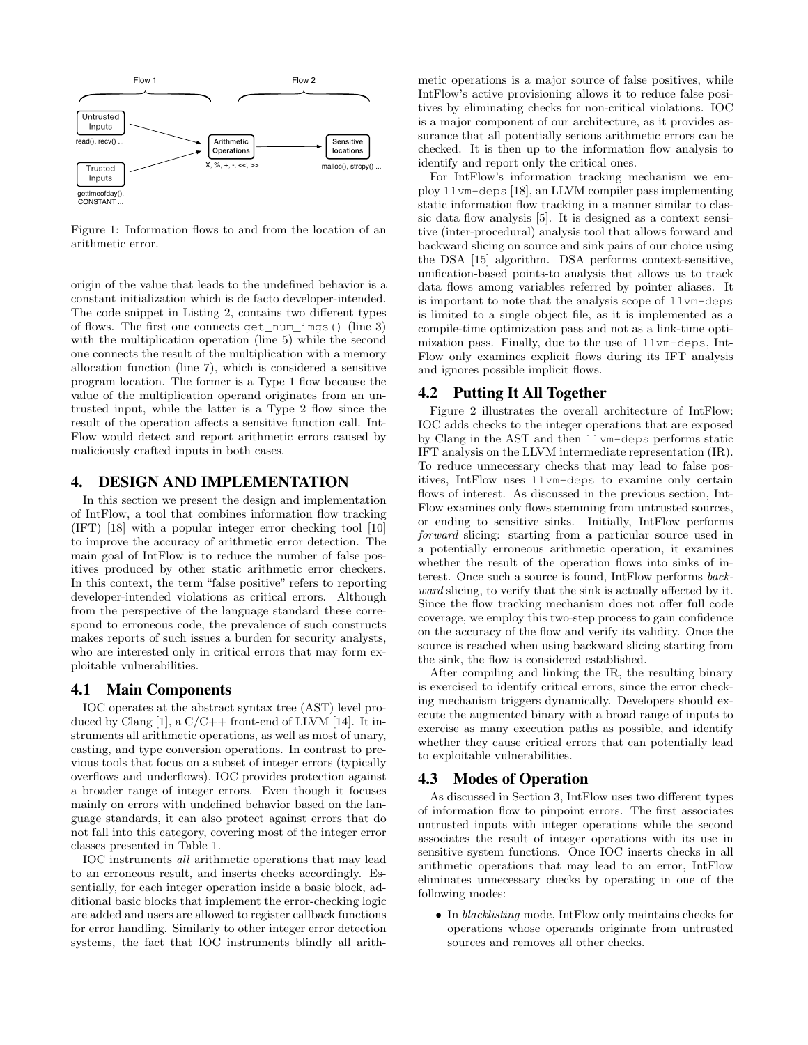<span id="page-3-1"></span>

Figure 1: Information flows to and from the location of an arithmetic error.

origin of the value that leads to the undefined behavior is a constant initialization which is de facto developer-intended. The code snippet in Listing [2,](#page-2-2) contains two different types of flows. The first one connects get\_num\_imgs() (line 3) with the multiplication operation (line 5) while the second one connects the result of the multiplication with a memory allocation function (line 7), which is considered a sensitive program location. The former is a Type 1 flow because the value of the multiplication operand originates from an untrusted input, while the latter is a Type 2 flow since the result of the operation affects a sensitive function call. Int-Flow would detect and report arithmetic errors caused by maliciously crafted inputs in both cases.

#### 4. DESIGN AND IMPLEMENTATION

In this section we present the design and implementation of IntFlow, a tool that combines information flow tracking (IFT) [\[18\]](#page-9-13) with a popular integer error checking tool [\[10\]](#page-9-8) to improve the accuracy of arithmetic error detection. The main goal of IntFlow is to reduce the number of false positives produced by other static arithmetic error checkers. In this context, the term "false positive" refers to reporting developer-intended violations as critical errors. Although from the perspective of the language standard these correspond to erroneous code, the prevalence of such constructs makes reports of such issues a burden for security analysts, who are interested only in critical errors that may form exploitable vulnerabilities.

#### 4.1 Main Components

IOC operates at the abstract syntax tree (AST) level pro-duced by Clang [\[1\]](#page-9-14), a  $C/C++$  front-end of LLVM [\[14\]](#page-9-15). It instruments all arithmetic operations, as well as most of unary, casting, and type conversion operations. In contrast to previous tools that focus on a subset of integer errors (typically overflows and underflows), IOC provides protection against a broader range of integer errors. Even though it focuses mainly on errors with undefined behavior based on the language standards, it can also protect against errors that do not fall into this category, covering most of the integer error classes presented in Table [1.](#page-1-1)

IOC instruments all arithmetic operations that may lead to an erroneous result, and inserts checks accordingly. Essentially, for each integer operation inside a basic block, additional basic blocks that implement the error-checking logic are added and users are allowed to register callback functions for error handling. Similarly to other integer error detection systems, the fact that IOC instruments blindly all arithmetic operations is a major source of false positives, while IntFlow's active provisioning allows it to reduce false positives by eliminating checks for non-critical violations. IOC is a major component of our architecture, as it provides assurance that all potentially serious arithmetic errors can be checked. It is then up to the information flow analysis to identify and report only the critical ones.

For IntFlow's information tracking mechanism we employ llvm-deps [\[18\]](#page-9-13), an LLVM compiler pass implementing static information flow tracking in a manner similar to classic data flow analysis [\[5\]](#page-9-12). It is designed as a context sensitive (inter-procedural) analysis tool that allows forward and backward slicing on source and sink pairs of our choice using the DSA [\[15\]](#page-9-16) algorithm. DSA performs context-sensitive, unification-based points-to analysis that allows us to track data flows among variables referred by pointer aliases. It is important to note that the analysis scope of llvm-deps is limited to a single object file, as it is implemented as a compile-time optimization pass and not as a link-time optimization pass. Finally, due to the use of llvm-deps, Int-Flow only examines explicit flows during its IFT analysis and ignores possible implicit flows.

#### 4.2 Putting It All Together

Figure [2](#page-4-0) illustrates the overall architecture of IntFlow: IOC adds checks to the integer operations that are exposed by Clang in the AST and then llvm-deps performs static IFT analysis on the LLVM intermediate representation (IR). To reduce unnecessary checks that may lead to false positives, IntFlow uses llvm-deps to examine only certain flows of interest. As discussed in the previous section, Int-Flow examines only flows stemming from untrusted sources, or ending to sensitive sinks. Initially, IntFlow performs forward slicing: starting from a particular source used in a potentially erroneous arithmetic operation, it examines whether the result of the operation flows into sinks of interest. Once such a source is found, IntFlow performs backward slicing, to verify that the sink is actually affected by it. Since the flow tracking mechanism does not offer full code coverage, we employ this two-step process to gain confidence on the accuracy of the flow and verify its validity. Once the source is reached when using backward slicing starting from the sink, the flow is considered established.

After compiling and linking the IR, the resulting binary is exercised to identify critical errors, since the error checking mechanism triggers dynamically. Developers should execute the augmented binary with a broad range of inputs to exercise as many execution paths as possible, and identify whether they cause critical errors that can potentially lead to exploitable vulnerabilities.

#### <span id="page-3-0"></span>4.3 Modes of Operation

As discussed in Section [3,](#page-2-5) IntFlow uses two different types of information flow to pinpoint errors. The first associates untrusted inputs with integer operations while the second associates the result of integer operations with its use in sensitive system functions. Once IOC inserts checks in all arithmetic operations that may lead to an error, IntFlow eliminates unnecessary checks by operating in one of the following modes:

• In blacklisting mode, IntFlow only maintains checks for operations whose operands originate from untrusted sources and removes all other checks.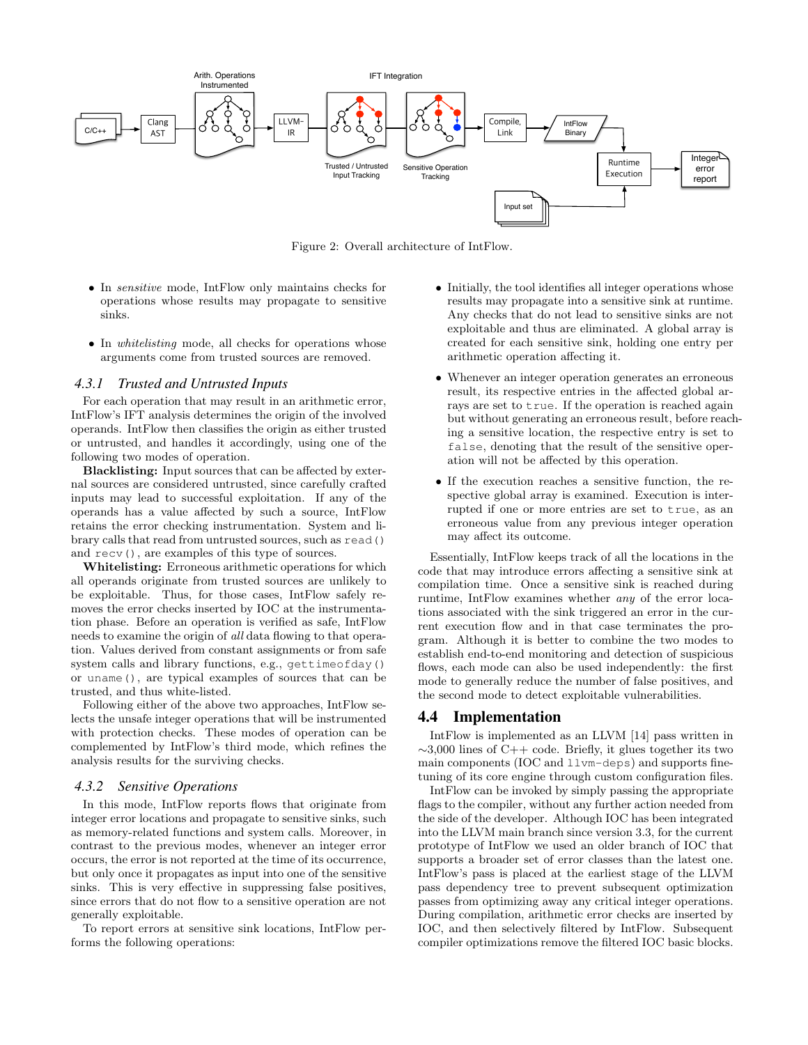<span id="page-4-0"></span>

Figure 2: Overall architecture of IntFlow.

- In sensitive mode, IntFlow only maintains checks for operations whose results may propagate to sensitive sinks.
- In *whitelisting* mode, all checks for operations whose arguments come from trusted sources are removed.

#### *4.3.1 Trusted and Untrusted Inputs*

For each operation that may result in an arithmetic error, IntFlow's IFT analysis determines the origin of the involved operands. IntFlow then classifies the origin as either trusted or untrusted, and handles it accordingly, using one of the following two modes of operation.

Blacklisting: Input sources that can be affected by external sources are considered untrusted, since carefully crafted inputs may lead to successful exploitation. If any of the operands has a value affected by such a source, IntFlow retains the error checking instrumentation. System and library calls that read from untrusted sources, such as read() and recv(), are examples of this type of sources.

Whitelisting: Erroneous arithmetic operations for which all operands originate from trusted sources are unlikely to be exploitable. Thus, for those cases, IntFlow safely removes the error checks inserted by IOC at the instrumentation phase. Before an operation is verified as safe, IntFlow needs to examine the origin of all data flowing to that operation. Values derived from constant assignments or from safe system calls and library functions, e.g., gettimeofday() or uname(), are typical examples of sources that can be trusted, and thus white-listed.

Following either of the above two approaches, IntFlow selects the unsafe integer operations that will be instrumented with protection checks. These modes of operation can be complemented by IntFlow's third mode, which refines the analysis results for the surviving checks.

#### *4.3.2 Sensitive Operations*

In this mode, IntFlow reports flows that originate from integer error locations and propagate to sensitive sinks, such as memory-related functions and system calls. Moreover, in contrast to the previous modes, whenever an integer error occurs, the error is not reported at the time of its occurrence, but only once it propagates as input into one of the sensitive sinks. This is very effective in suppressing false positives, since errors that do not flow to a sensitive operation are not generally exploitable.

To report errors at sensitive sink locations, IntFlow performs the following operations:

- Initially, the tool identifies all integer operations whose results may propagate into a sensitive sink at runtime. Any checks that do not lead to sensitive sinks are not exploitable and thus are eliminated. A global array is created for each sensitive sink, holding one entry per arithmetic operation affecting it.
- Whenever an integer operation generates an erroneous result, its respective entries in the affected global arrays are set to true. If the operation is reached again but without generating an erroneous result, before reaching a sensitive location, the respective entry is set to false, denoting that the result of the sensitive operation will not be affected by this operation.
- If the execution reaches a sensitive function, the respective global array is examined. Execution is interrupted if one or more entries are set to true, as an erroneous value from any previous integer operation may affect its outcome.

Essentially, IntFlow keeps track of all the locations in the code that may introduce errors affecting a sensitive sink at compilation time. Once a sensitive sink is reached during runtime, IntFlow examines whether any of the error locations associated with the sink triggered an error in the current execution flow and in that case terminates the program. Although it is better to combine the two modes to establish end-to-end monitoring and detection of suspicious flows, each mode can also be used independently: the first mode to generally reduce the number of false positives, and the second mode to detect exploitable vulnerabilities.

#### 4.4 Implementation

IntFlow is implemented as an LLVM [\[14\]](#page-9-15) pass written in  $\sim$ 3,000 lines of C++ code. Briefly, it glues together its two main components (IOC and llvm-deps) and supports finetuning of its core engine through custom configuration files.

IntFlow can be invoked by simply passing the appropriate flags to the compiler, without any further action needed from the side of the developer. Although IOC has been integrated into the LLVM main branch since version 3.3, for the current prototype of IntFlow we used an older branch of IOC that supports a broader set of error classes than the latest one. IntFlow's pass is placed at the earliest stage of the LLVM pass dependency tree to prevent subsequent optimization passes from optimizing away any critical integer operations. During compilation, arithmetic error checks are inserted by IOC, and then selectively filtered by IntFlow. Subsequent compiler optimizations remove the filtered IOC basic blocks.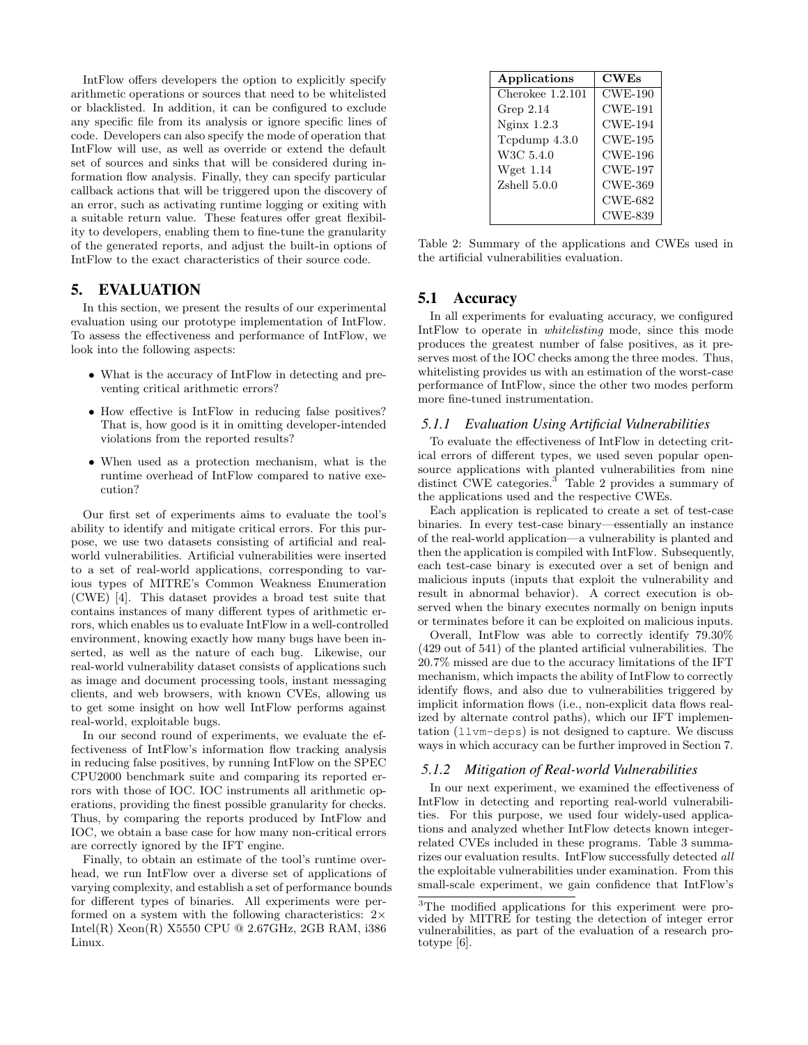IntFlow offers developers the option to explicitly specify arithmetic operations or sources that need to be whitelisted or blacklisted. In addition, it can be configured to exclude any specific file from its analysis or ignore specific lines of code. Developers can also specify the mode of operation that IntFlow will use, as well as override or extend the default set of sources and sinks that will be considered during information flow analysis. Finally, they can specify particular callback actions that will be triggered upon the discovery of an error, such as activating runtime logging or exiting with a suitable return value. These features offer great flexibility to developers, enabling them to fine-tune the granularity of the generated reports, and adjust the built-in options of IntFlow to the exact characteristics of their source code.

# <span id="page-5-4"></span>5. EVALUATION

In this section, we present the results of our experimental evaluation using our prototype implementation of IntFlow. To assess the effectiveness and performance of IntFlow, we look into the following aspects:

- What is the accuracy of IntFlow in detecting and preventing critical arithmetic errors?
- How effective is IntFlow in reducing false positives? That is, how good is it in omitting developer-intended violations from the reported results?
- When used as a protection mechanism, what is the runtime overhead of IntFlow compared to native execution?

Our first set of experiments aims to evaluate the tool's ability to identify and mitigate critical errors. For this purpose, we use two datasets consisting of artificial and realworld vulnerabilities. Artificial vulnerabilities were inserted to a set of real-world applications, corresponding to various types of MITRE's Common Weakness Enumeration (CWE) [\[4\]](#page-9-17). This dataset provides a broad test suite that contains instances of many different types of arithmetic errors, which enables us to evaluate IntFlow in a well-controlled environment, knowing exactly how many bugs have been inserted, as well as the nature of each bug. Likewise, our real-world vulnerability dataset consists of applications such as image and document processing tools, instant messaging clients, and web browsers, with known CVEs, allowing us to get some insight on how well IntFlow performs against real-world, exploitable bugs.

In our second round of experiments, we evaluate the effectiveness of IntFlow's information flow tracking analysis in reducing false positives, by running IntFlow on the SPEC CPU2000 benchmark suite and comparing its reported errors with those of IOC. IOC instruments all arithmetic operations, providing the finest possible granularity for checks. Thus, by comparing the reports produced by IntFlow and IOC, we obtain a base case for how many non-critical errors are correctly ignored by the IFT engine.

Finally, to obtain an estimate of the tool's runtime overhead, we run IntFlow over a diverse set of applications of varying complexity, and establish a set of performance bounds for different types of binaries. All experiments were performed on a system with the following characteristics:  $2 \times$ Intel(R) Xeon(R) X5550 CPU @ 2.67GHz, 2GB RAM, i386 Linux.

<span id="page-5-1"></span>

| Applications       | CWEs           |
|--------------------|----------------|
| Cherokee $1.2.101$ | $CWE-190$      |
| Grep $2.14$        | $CWE-191$      |
| Nginx 1.2.3        | <b>CWE-194</b> |
| Tcpdump 4.3.0      | <b>CWE-195</b> |
| W3C 5.4.0          | CWE-196        |
| Wget $1.14$        | <b>CWE-197</b> |
| Zshell 5.0.0       | CWE-369        |
|                    | CWE-682        |
|                    | <b>CWE-839</b> |

Table 2: Summary of the applications and CWEs used in the artificial vulnerabilities evaluation.

## 5.1 Accuracy

In all experiments for evaluating accuracy, we configured IntFlow to operate in whitelisting mode, since this mode produces the greatest number of false positives, as it preserves most of the IOC checks among the three modes. Thus, whitelisting provides us with an estimation of the worst-case performance of IntFlow, since the other two modes perform more fine-tuned instrumentation.

#### <span id="page-5-3"></span>*5.1.1 Evaluation Using Artificial Vulnerabilities*

To evaluate the effectiveness of IntFlow in detecting critical errors of different types, we used seven popular opensource applications with planted vulnerabilities from nine distinct CWE categories.<sup>[3](#page-5-0)</sup> Table [2](#page-5-1) provides a summary of the applications used and the respective CWEs.

Each application is replicated to create a set of test-case binaries. In every test-case binary—essentially an instance of the real-world application—a vulnerability is planted and then the application is compiled with IntFlow. Subsequently, each test-case binary is executed over a set of benign and malicious inputs (inputs that exploit the vulnerability and result in abnormal behavior). A correct execution is observed when the binary executes normally on benign inputs or terminates before it can be exploited on malicious inputs.

Overall, IntFlow was able to correctly identify 79.30% (429 out of 541) of the planted artificial vulnerabilities. The 20.7% missed are due to the accuracy limitations of the IFT mechanism, which impacts the ability of IntFlow to correctly identify flows, and also due to vulnerabilities triggered by implicit information flows (i.e., non-explicit data flows realized by alternate control paths), which our IFT implementation (llvm-deps) is not designed to capture. We discuss ways in which accuracy can be further improved in Section [7.](#page-8-0)

#### <span id="page-5-2"></span>*5.1.2 Mitigation of Real-world Vulnerabilities*

In our next experiment, we examined the effectiveness of IntFlow in detecting and reporting real-world vulnerabilities. For this purpose, we used four widely-used applications and analyzed whether IntFlow detects known integerrelated CVEs included in these programs. Table [3](#page-6-0) summarizes our evaluation results. IntFlow successfully detected all the exploitable vulnerabilities under examination. From this small-scale experiment, we gain confidence that IntFlow's

<span id="page-5-0"></span><sup>3</sup>The modified applications for this experiment were provided by MITRE for testing the detection of integer error vulnerabilities, as part of the evaluation of a research prototype [\[6\]](#page-9-18).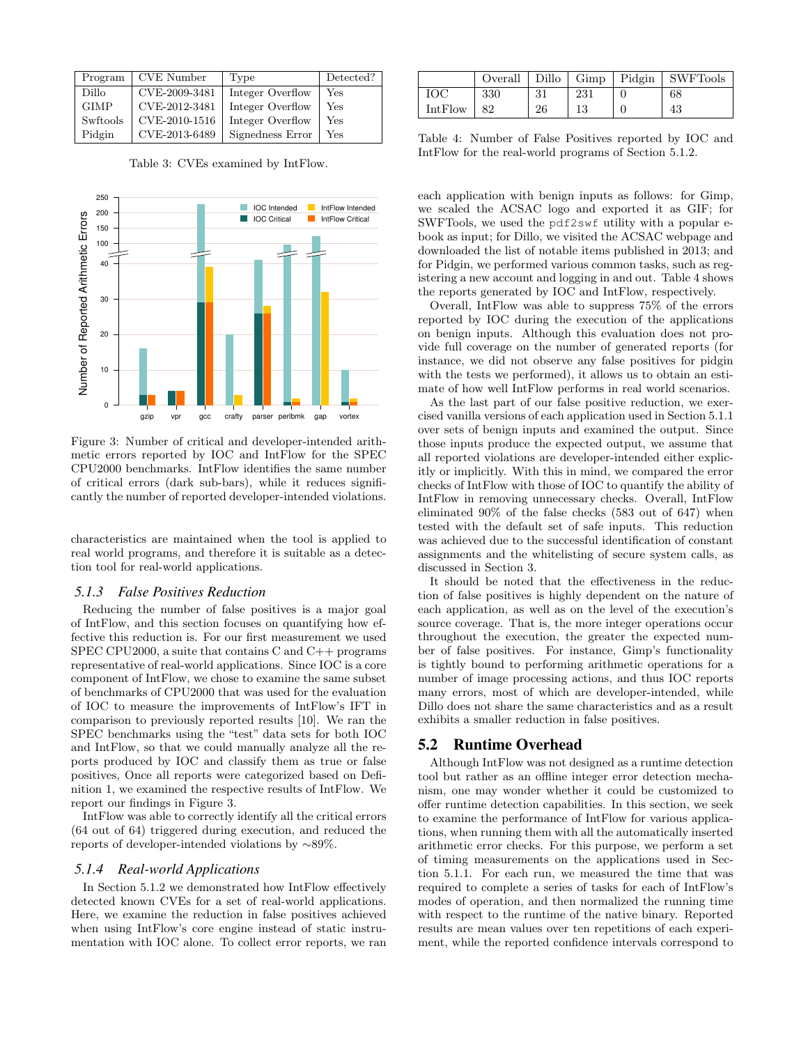<span id="page-6-0"></span>

| Program     | <b>CVE</b> Number | Type             | Detected? |
|-------------|-------------------|------------------|-----------|
| Dillo       | CVE-2009-3481     | Integer Overflow | Yes       |
| <b>GIMP</b> | CVE-2012-3481     | Integer Overflow | Yes       |
| Swftools    | CVE-2010-1516     | Integer Overflow | Yes       |
| Pidgin      | CVE-2013-6489     | Signedness Error | Yes       |

Table 3: CVEs examined by IntFlow.

<span id="page-6-1"></span>

Figure 3: Number of critical and developer-intended arithmetic errors reported by IOC and IntFlow for the SPEC CPU2000 benchmarks. IntFlow identifies the same number of critical errors (dark sub-bars), while it reduces significantly the number of reported developer-intended violations.

characteristics are maintained when the tool is applied to real world programs, and therefore it is suitable as a detection tool for real-world applications.

#### *5.1.3 False Positives Reduction*

Reducing the number of false positives is a major goal of IntFlow, and this section focuses on quantifying how effective this reduction is. For our first measurement we used SPEC CPU2000, a suite that contains C and C++ programs representative of real-world applications. Since IOC is a core component of IntFlow, we chose to examine the same subset of benchmarks of CPU2000 that was used for the evaluation of IOC to measure the improvements of IntFlow's IFT in comparison to previously reported results [\[10\]](#page-9-8). We ran the SPEC benchmarks using the "test" data sets for both IOC and IntFlow, so that we could manually analyze all the reports produced by IOC and classify them as true or false positives, Once all reports were categorized based on Definition [1,](#page-2-3) we examined the respective results of IntFlow. We report our findings in Figure [3.](#page-6-1)

IntFlow was able to correctly identify all the critical errors (64 out of 64) triggered during execution, and reduced the reports of developer-intended violations by ∼89%.

#### *5.1.4 Real-world Applications*

In Section [5.1.2](#page-5-2) we demonstrated how IntFlow effectively detected known CVEs for a set of real-world applications. Here, we examine the reduction in false positives achieved when using IntFlow's core engine instead of static instrumentation with IOC alone. To collect error reports, we ran

<span id="page-6-2"></span>

|         | Overall | Dillo | $\Box$ Gimp $\Box$ Pidgin | SWFTools |
|---------|---------|-------|---------------------------|----------|
| ЮС      | 330     | 21    | 231                       | 68       |
| IntFlow | 82      | 26    |                           | 43       |

Table 4: Number of False Positives reported by IOC and IntFlow for the real-world programs of Section [5.1.2.](#page-5-2)

each application with benign inputs as follows: for Gimp, we scaled the ACSAC logo and exported it as GIF; for SWFTools, we used the pdf2swf utility with a popular ebook as input; for Dillo, we visited the ACSAC webpage and downloaded the list of notable items published in 2013; and for Pidgin, we performed various common tasks, such as registering a new account and logging in and out. Table [4](#page-6-2) shows the reports generated by IOC and IntFlow, respectively.

Overall, IntFlow was able to suppress 75% of the errors reported by IOC during the execution of the applications on benign inputs. Although this evaluation does not provide full coverage on the number of generated reports (for instance, we did not observe any false positives for pidgin with the tests we performed), it allows us to obtain an estimate of how well IntFlow performs in real world scenarios.

As the last part of our false positive reduction, we exercised vanilla versions of each application used in Section [5.1.1](#page-5-3) over sets of benign inputs and examined the output. Since those inputs produce the expected output, we assume that all reported violations are developer-intended either explicitly or implicitly. With this in mind, we compared the error checks of IntFlow with those of IOC to quantify the ability of IntFlow in removing unnecessary checks. Overall, IntFlow eliminated 90% of the false checks (583 out of 647) when tested with the default set of safe inputs. This reduction was achieved due to the successful identification of constant assignments and the whitelisting of secure system calls, as discussed in Section [3.](#page-2-5)

It should be noted that the effectiveness in the reduction of false positives is highly dependent on the nature of each application, as well as on the level of the execution's source coverage. That is, the more integer operations occur throughout the execution, the greater the expected number of false positives. For instance, Gimp's functionality is tightly bound to performing arithmetic operations for a number of image processing actions, and thus IOC reports many errors, most of which are developer-intended, while Dillo does not share the same characteristics and as a result exhibits a smaller reduction in false positives.

#### <span id="page-6-3"></span>5.2 Runtime Overhead

Although IntFlow was not designed as a runtime detection tool but rather as an offline integer error detection mechanism, one may wonder whether it could be customized to offer runtime detection capabilities. In this section, we seek to examine the performance of IntFlow for various applications, when running them with all the automatically inserted arithmetic error checks. For this purpose, we perform a set of timing measurements on the applications used in Section [5.1.1.](#page-5-3) For each run, we measured the time that was required to complete a series of tasks for each of IntFlow's modes of operation, and then normalized the running time with respect to the runtime of the native binary. Reported results are mean values over ten repetitions of each experiment, while the reported confidence intervals correspond to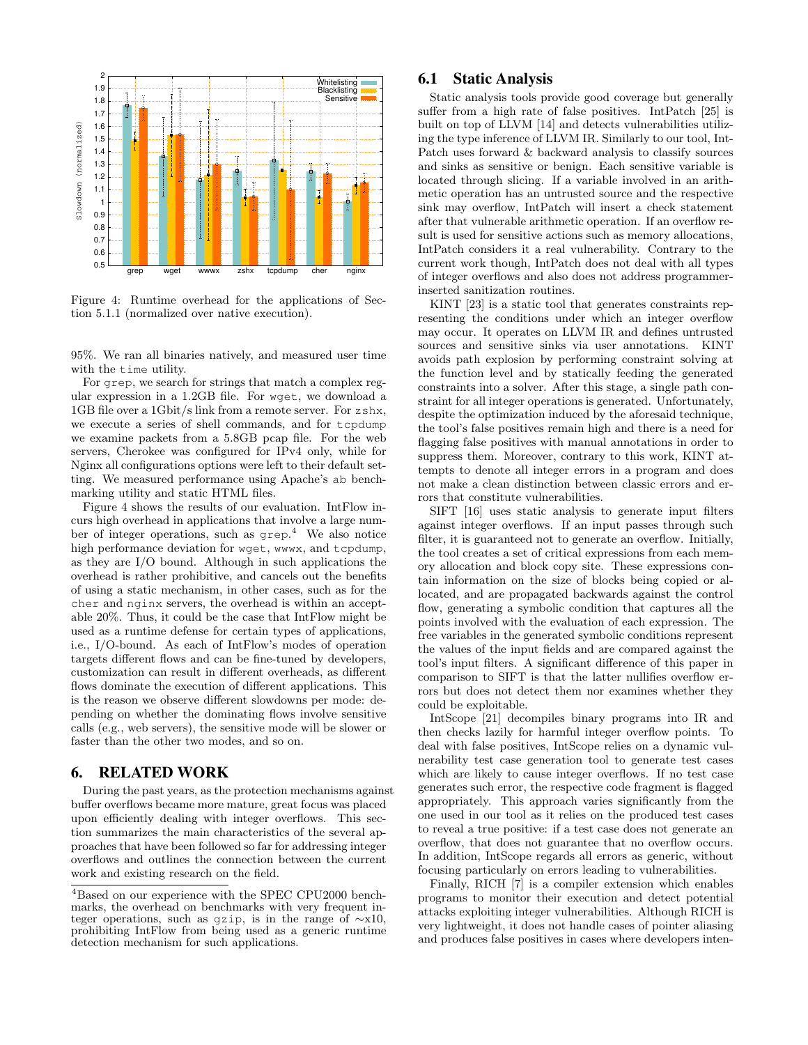<span id="page-7-0"></span>

Figure 4: Runtime overhead for the applications of Section [5.1.1](#page-5-3) (normalized over native execution).

95%. We ran all binaries natively, and measured user time with the time utility.

For grep, we search for strings that match a complex regular expression in a 1.2GB file. For wget, we download a 1GB file over a 1Gbit/s link from a remote server. For zshx, we execute a series of shell commands, and for tcpdump we examine packets from a 5.8GB pcap file. For the web servers, Cherokee was configured for IPv4 only, while for Nginx all configurations options were left to their default setting. We measured performance using Apache's ab benchmarking utility and static HTML files.

Figure [4](#page-7-0) shows the results of our evaluation. IntFlow incurs high overhead in applications that involve a large number of integer operations, such as grep. [4](#page-7-1) We also notice high performance deviation for wget, wwwx, and tcpdump, as they are I/O bound. Although in such applications the overhead is rather prohibitive, and cancels out the benefits of using a static mechanism, in other cases, such as for the cher and nginx servers, the overhead is within an acceptable 20%. Thus, it could be the case that IntFlow might be used as a runtime defense for certain types of applications, i.e., I/O-bound. As each of IntFlow's modes of operation targets different flows and can be fine-tuned by developers, customization can result in different overheads, as different flows dominate the execution of different applications. This is the reason we observe different slowdowns per mode: depending on whether the dominating flows involve sensitive calls (e.g., web servers), the sensitive mode will be slower or faster than the other two modes, and so on.

## 6. RELATED WORK

During the past years, as the protection mechanisms against buffer overflows became more mature, great focus was placed upon efficiently dealing with integer overflows. This section summarizes the main characteristics of the several approaches that have been followed so far for addressing integer overflows and outlines the connection between the current work and existing research on the field.

#### 6.1 Static Analysis

Static analysis tools provide good coverage but generally suffer from a high rate of false positives. IntPatch [\[25\]](#page-9-1) is built on top of LLVM [\[14\]](#page-9-15) and detects vulnerabilities utilizing the type inference of LLVM IR. Similarly to our tool, Int-Patch uses forward & backward analysis to classify sources and sinks as sensitive or benign. Each sensitive variable is located through slicing. If a variable involved in an arithmetic operation has an untrusted source and the respective sink may overflow, IntPatch will insert a check statement after that vulnerable arithmetic operation. If an overflow result is used for sensitive actions such as memory allocations, IntPatch considers it a real vulnerability. Contrary to the current work though, IntPatch does not deal with all types of integer overflows and also does not address programmerinserted sanitization routines.

KINT [\[23\]](#page-9-3) is a static tool that generates constraints representing the conditions under which an integer overflow may occur. It operates on LLVM IR and defines untrusted sources and sensitive sinks via user annotations. KINT avoids path explosion by performing constraint solving at the function level and by statically feeding the generated constraints into a solver. After this stage, a single path constraint for all integer operations is generated. Unfortunately, despite the optimization induced by the aforesaid technique, the tool's false positives remain high and there is a need for flagging false positives with manual annotations in order to suppress them. Moreover, contrary to this work, KINT attempts to denote all integer errors in a program and does not make a clean distinction between classic errors and errors that constitute vulnerabilities.

SIFT [\[16\]](#page-9-7) uses static analysis to generate input filters against integer overflows. If an input passes through such filter, it is guaranteed not to generate an overflow. Initially, the tool creates a set of critical expressions from each memory allocation and block copy site. These expressions contain information on the size of blocks being copied or allocated, and are propagated backwards against the control flow, generating a symbolic condition that captures all the points involved with the evaluation of each expression. The free variables in the generated symbolic conditions represent the values of the input fields and are compared against the tool's input filters. A significant difference of this paper in comparison to SIFT is that the latter nullifies overflow errors but does not detect them nor examines whether they could be exploitable.

IntScope [\[21\]](#page-9-19) decompiles binary programs into IR and then checks lazily for harmful integer overflow points. To deal with false positives, IntScope relies on a dynamic vulnerability test case generation tool to generate test cases which are likely to cause integer overflows. If no test case generates such error, the respective code fragment is flagged appropriately. This approach varies significantly from the one used in our tool as it relies on the produced test cases to reveal a true positive: if a test case does not generate an overflow, that does not guarantee that no overflow occurs. In addition, IntScope regards all errors as generic, without focusing particularly on errors leading to vulnerabilities.

Finally, RICH [\[7\]](#page-9-4) is a compiler extension which enables programs to monitor their execution and detect potential attacks exploiting integer vulnerabilities. Although RICH is very lightweight, it does not handle cases of pointer aliasing and produces false positives in cases where developers inten-

<span id="page-7-1"></span><sup>4</sup>Based on our experience with the SPEC CPU2000 benchmarks, the overhead on benchmarks with very frequent integer operations, such as gzip, is in the range of ∼x10, prohibiting IntFlow from being used as a generic runtime detection mechanism for such applications.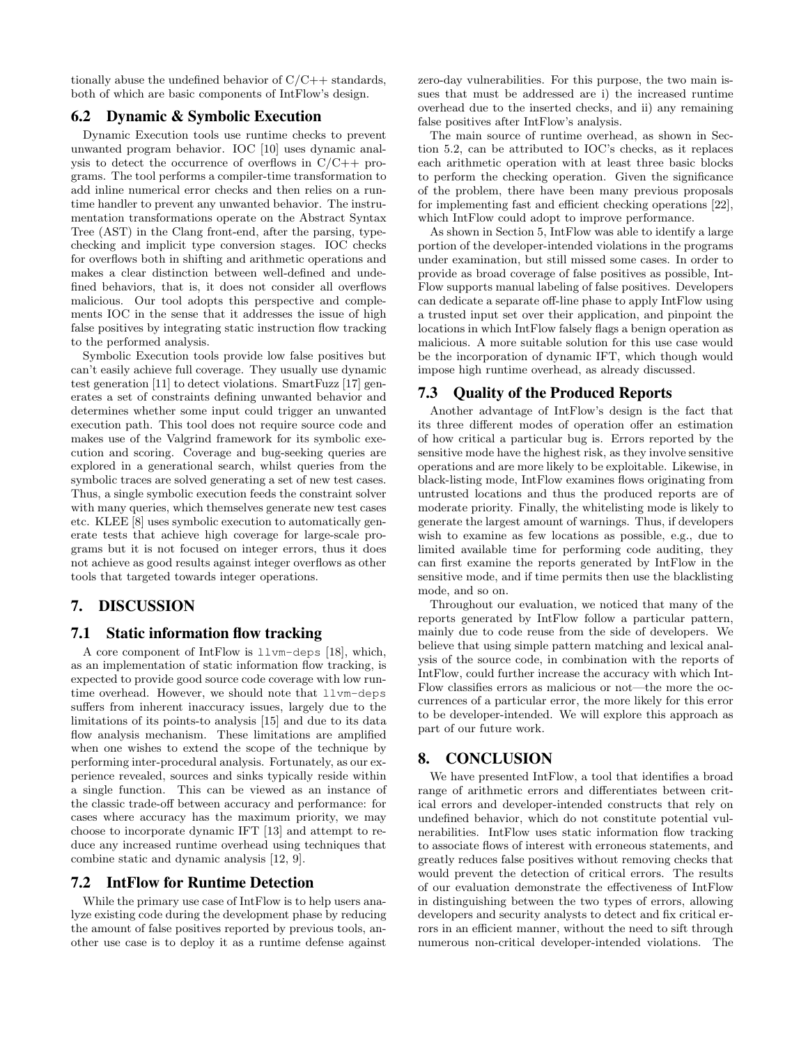tionally abuse the undefined behavior of  $C/C++$  standards, both of which are basic components of IntFlow's design.

# 6.2 Dynamic & Symbolic Execution

Dynamic Execution tools use runtime checks to prevent unwanted program behavior. IOC [\[10\]](#page-9-8) uses dynamic analysis to detect the occurrence of overflows in  $C/C++$  programs. The tool performs a compiler-time transformation to add inline numerical error checks and then relies on a runtime handler to prevent any unwanted behavior. The instrumentation transformations operate on the Abstract Syntax Tree (AST) in the Clang front-end, after the parsing, typechecking and implicit type conversion stages. IOC checks for overflows both in shifting and arithmetic operations and makes a clear distinction between well-defined and undefined behaviors, that is, it does not consider all overflows malicious. Our tool adopts this perspective and complements IOC in the sense that it addresses the issue of high false positives by integrating static instruction flow tracking to the performed analysis.

Symbolic Execution tools provide low false positives but can't easily achieve full coverage. They usually use dynamic test generation [\[11\]](#page-9-20) to detect violations. SmartFuzz [\[17\]](#page-9-6) generates a set of constraints defining unwanted behavior and determines whether some input could trigger an unwanted execution path. This tool does not require source code and makes use of the Valgrind framework for its symbolic execution and scoring. Coverage and bug-seeking queries are explored in a generational search, whilst queries from the symbolic traces are solved generating a set of new test cases. Thus, a single symbolic execution feeds the constraint solver with many queries, which themselves generate new test cases etc. KLEE [\[8\]](#page-9-5) uses symbolic execution to automatically generate tests that achieve high coverage for large-scale programs but it is not focused on integer errors, thus it does not achieve as good results against integer overflows as other tools that targeted towards integer operations.

# <span id="page-8-0"></span>7. DISCUSSION

#### 7.1 Static information flow tracking

A core component of IntFlow is llvm-deps [\[18\]](#page-9-13), which, as an implementation of static information flow tracking, is expected to provide good source code coverage with low runtime overhead. However, we should note that llvm-deps suffers from inherent inaccuracy issues, largely due to the limitations of its points-to analysis [\[15\]](#page-9-16) and due to its data flow analysis mechanism. These limitations are amplified when one wishes to extend the scope of the technique by performing inter-procedural analysis. Fortunately, as our experience revealed, sources and sinks typically reside within a single function. This can be viewed as an instance of the classic trade-off between accuracy and performance: for cases where accuracy has the maximum priority, we may choose to incorporate dynamic IFT [\[13\]](#page-9-21) and attempt to reduce any increased runtime overhead using techniques that combine static and dynamic analysis [\[12,](#page-9-22) [9\]](#page-9-23).

## 7.2 IntFlow for Runtime Detection

While the primary use case of IntFlow is to help users analyze existing code during the development phase by reducing the amount of false positives reported by previous tools, another use case is to deploy it as a runtime defense against

zero-day vulnerabilities. For this purpose, the two main issues that must be addressed are i) the increased runtime overhead due to the inserted checks, and ii) any remaining false positives after IntFlow's analysis.

The main source of runtime overhead, as shown in Section [5.2,](#page-6-3) can be attributed to IOC's checks, as it replaces each arithmetic operation with at least three basic blocks to perform the checking operation. Given the significance of the problem, there have been many previous proposals for implementing fast and efficient checking operations [\[22\]](#page-9-24), which IntFlow could adopt to improve performance.

As shown in Section [5,](#page-5-4) IntFlow was able to identify a large portion of the developer-intended violations in the programs under examination, but still missed some cases. In order to provide as broad coverage of false positives as possible, Int-Flow supports manual labeling of false positives. Developers can dedicate a separate off-line phase to apply IntFlow using a trusted input set over their application, and pinpoint the locations in which IntFlow falsely flags a benign operation as malicious. A more suitable solution for this use case would be the incorporation of dynamic IFT, which though would impose high runtime overhead, as already discussed.

## 7.3 Quality of the Produced Reports

Another advantage of IntFlow's design is the fact that its three different modes of operation offer an estimation of how critical a particular bug is. Errors reported by the sensitive mode have the highest risk, as they involve sensitive operations and are more likely to be exploitable. Likewise, in black-listing mode, IntFlow examines flows originating from untrusted locations and thus the produced reports are of moderate priority. Finally, the whitelisting mode is likely to generate the largest amount of warnings. Thus, if developers wish to examine as few locations as possible, e.g., due to limited available time for performing code auditing, they can first examine the reports generated by IntFlow in the sensitive mode, and if time permits then use the blacklisting mode, and so on.

Throughout our evaluation, we noticed that many of the reports generated by IntFlow follow a particular pattern, mainly due to code reuse from the side of developers. We believe that using simple pattern matching and lexical analysis of the source code, in combination with the reports of IntFlow, could further increase the accuracy with which Int-Flow classifies errors as malicious or not—the more the occurrences of a particular error, the more likely for this error to be developer-intended. We will explore this approach as part of our future work.

# 8. CONCLUSION

We have presented IntFlow, a tool that identifies a broad range of arithmetic errors and differentiates between critical errors and developer-intended constructs that rely on undefined behavior, which do not constitute potential vulnerabilities. IntFlow uses static information flow tracking to associate flows of interest with erroneous statements, and greatly reduces false positives without removing checks that would prevent the detection of critical errors. The results of our evaluation demonstrate the effectiveness of IntFlow in distinguishing between the two types of errors, allowing developers and security analysts to detect and fix critical errors in an efficient manner, without the need to sift through numerous non-critical developer-intended violations. The